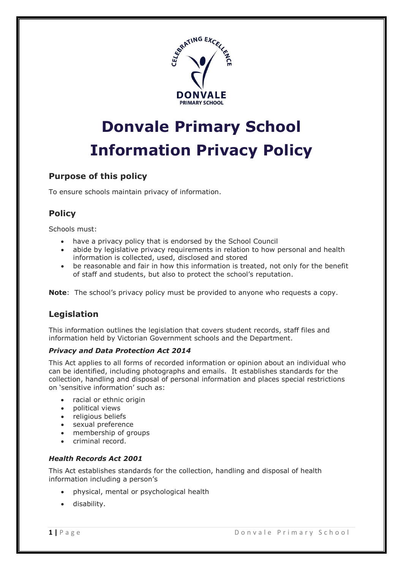

# **Donvale Primary School Information Privacy Policy**

# **Purpose of this policy**

To ensure schools maintain privacy of information.

# **Policy**

Schools must:

- have a privacy policy that is endorsed by the School Council
- abide by legislative privacy requirements in relation to how personal and health information is collected, used, disclosed and stored
- be reasonable and fair in how this information is treated, not only for the benefit of staff and students, but also to protect the school's reputation.

**Note**: The school's privacy policy must be provided to anyone who requests a copy.

# **Legislation**

This information outlines the legislation that covers student records, staff files and information held by Victorian Government schools and the Department.

## *Privacy and Data Protection Act 2014*

This Act applies to all forms of recorded information or opinion about an individual who can be identified, including photographs and emails. It establishes standards for the collection, handling and disposal of personal information and places special restrictions on 'sensitive information' such as:

- racial or ethnic origin
- political views
- religious beliefs
- sexual preference
- membership of groups
- criminal record.

## *Health Records Act 2001*

This Act establishes standards for the collection, handling and disposal of health information including a person's

- physical, mental or psychological health
- disability.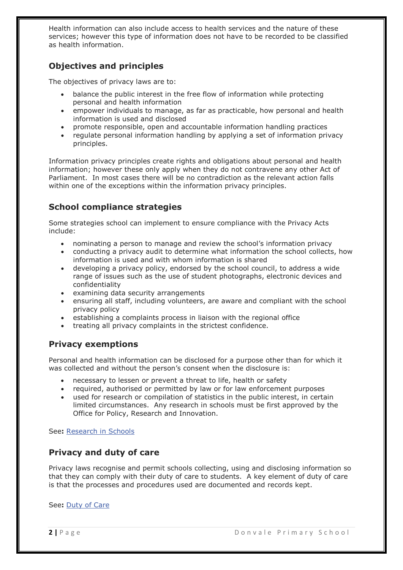Health information can also include access to health services and the nature of these services; however this type of information does not have to be recorded to be classified as health information.

## **Objectives and principles**

The objectives of privacy laws are to:

- balance the public interest in the free flow of information while protecting personal and health information
- empower individuals to manage, as far as practicable, how personal and health information is used and disclosed
- promote responsible, open and accountable information handling practices
- regulate personal information handling by applying a set of information privacy principles.

Information privacy principles create rights and obligations about personal and health information; however these only apply when they do not contravene any other Act of Parliament. In most cases there will be no contradiction as the relevant action falls within one of the exceptions within the information privacy principles.

# **School compliance strategies**

Some strategies school can implement to ensure compliance with the Privacy Acts include:

- nominating a person to manage and review the school's information privacy
- conducting a privacy audit to determine what information the school collects, how information is used and with whom information is shared
- developing a privacy policy, endorsed by the school council, to address a wide range of issues such as the use of student photographs, electronic devices and confidentiality
- examining data security arrangements
- ensuring all staff, including volunteers, are aware and compliant with the school privacy policy
- establishing a complaints process in liaison with the regional office
- treating all privacy complaints in the strictest confidence.

## **Privacy exemptions**

Personal and health information can be disclosed for a purpose other than for which it was collected and without the person's consent when the disclosure is:

- necessary to lessen or prevent a threat to life, health or safety
- required, authorised or permitted by law or for law enforcement purposes
- used for research or compilation of statistics in the public interest, in certain limited circumstances. Any research in schools must be first approved by the Office for Policy, Research and Innovation.

See**:** [Research in Schools](http://www.education.vic.gov.au/school/principals/spag/management/pages/research.aspx) 

## **Privacy and duty of care**

Privacy laws recognise and permit schools collecting, using and disclosing information so that they can comply with their duty of care to students. A key element of duty of care is that the processes and procedures used are documented and records kept.

See**:** Duty [of Care](http://www.education.vic.gov.au/school/principals/spag/safety/pages/dutyofcare.aspx)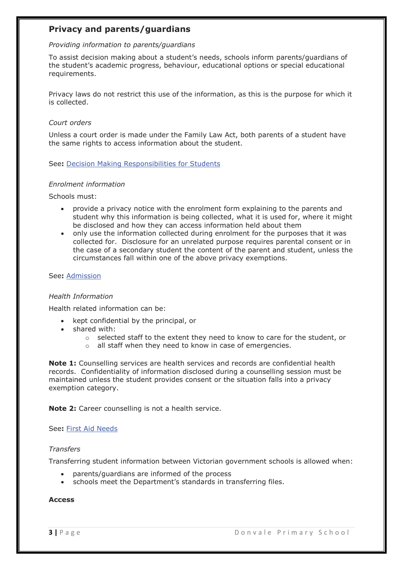## **Privacy and parents/guardians**

## *Providing information to parents/guardians*

To assist decision making about a student's needs, schools inform parents/guardians of the student's academic progress, behaviour, educational options or special educational requirements.

Privacy laws do not restrict this use of the information, as this is the purpose for which it is collected.

## *Court orders*

Unless a court order is made under the Family Law Act, both parents of a student have the same rights to access information about the student.

## See**:** [Decision Making Responsibilities for Students](http://www.education.vic.gov.au/school/principals/spag/safety/pages/parentalresponsibility.aspx)

## *Enrolment information*

Schools must:

- provide a privacy notice with the enrolment form explaining to the parents and student why this information is being collected, what it is used for, where it might be disclosed and how they can access information held about them
- only use the information collected during enrolment for the purposes that it was collected for. Disclosure for an unrelated purpose requires parental consent or in the case of a secondary student the content of the parent and student, unless the circumstances fall within one of the above privacy exemptions.

#### See**:** [Admission](http://www.education.vic.gov.au/school/principals/spag/participation/pages/admission.aspx)

#### *Health Information*

Health related information can be:

- kept confidential by the principal, or
- shared with:
	- o selected staff to the extent they need to know to care for the student, or
	- o all staff when they need to know in case of emergencies.

**Note 1:** Counselling services are health services and records are confidential health records. Confidentiality of information disclosed during a counselling session must be maintained unless the student provides consent or the situation falls into a privacy exemption category.

**Note 2:** Career counselling is not a health service.

#### See**:** [First Aid Needs](http://www.education.vic.gov.au/school/principals/spag/health/pages/firstaidneeds.aspx)

#### *Transfers*

Transferring student information between Victorian government schools is allowed when:

- parents/guardians are informed of the process
- schools meet the Department's standards in transferring files.

#### **Access**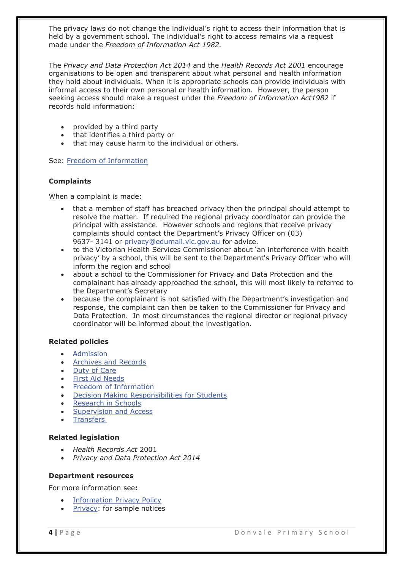The privacy laws do not change the individual's right to access their information that is held by a government school. The individual's right to access remains via a request made under the *Freedom of Information Act 1982.*

The *Privacy and Data Protection Act 2014* and the *Health Records Act 2001* encourage organisations to be open and transparent about what personal and health information they hold about individuals. When it is appropriate schools can provide individuals with informal access to their own personal or health information. However, the person seeking access should make a request under the *Freedom of Information Act1982* if records hold information:

- provided by a third party
- that identifies a third party or
- that may cause harm to the individual or others.

See: [Freedom of Information](http://www.education.vic.gov.au/school/principals/spag/governance/Pages/foi.aspx)

#### **Complaints**

When a complaint is made:

- that a member of staff has breached privacy then the principal should attempt to resolve the matter. If required the regional privacy coordinator can provide the principal with assistance. However schools and regions that receive privacy complaints should contact the Department's Privacy Officer on (03) 9637- 3141 or [privacy@edumail.vic.gov.au](mailto:privacy@edumail.vic.gov.au) for advice.
- to the Victorian Health Services Commissioner about 'an interference with health privacy' by a school, this will be sent to the Department's Privacy Officer who will inform the region and school
- about a school to the Commissioner for Privacy and Data Protection and the complainant has already approached the school, this will most likely to referred to the Department's Secretary
- because the complainant is not satisfied with the Department's investigation and response, the complaint can then be taken to the Commissioner for Privacy and Data Protection. In most circumstances the regional director or regional privacy coordinator will be informed about the investigation.

#### **Related policies**

- [Admission](http://www.education.vic.gov.au/school/principals/spag/participation/pages/admission.aspx)
- [Archives and Records](http://www.education.vic.gov.au/school/principals/spag/governance/Pages/archives.aspx)
- [Duty of Care](http://www.education.vic.gov.au/school/principals/spag/safety/pages/dutyofcare.aspx)
- [First Aid Needs](http://www.education.vic.gov.au/school/principals/spag/health/pages/firstaidneeds.aspx)
- [Freedom of Information](http://www.education.vic.gov.au/school/principals/spag/governance/Pages/foi.aspx)
- [Decision Making Responsibilities for Students](http://www.education.vic.gov.au/school/principals/spag/safety/pages/parentalresponsibility.aspx)
- [Research in Schools](http://www.education.vic.gov.au/school/principals/spag/management/pages/research.aspx)
- [Supervision and Access](http://www.education.vic.gov.au/school/principals/spag/safety/pages/supervisionaccess.aspx)
- **[Transfers](http://www.education.vic.gov.au/school/principals/spag/participation/pages/transfers.aspx)**

#### **Related legislation**

- *Health Records Act* 2001
- *Privacy and Data Protection Act 2014*

#### **Department resources**

For more information see**:**

- [Information Privacy Policy](http://www.education.vic.gov.au/pages/privacypolicy.aspx)
- [Privacy:](https://edugate.eduweb.vic.gov.au/Services/privacy/Pages/PrivacyDocumentsandLinks.aspx) for sample notices